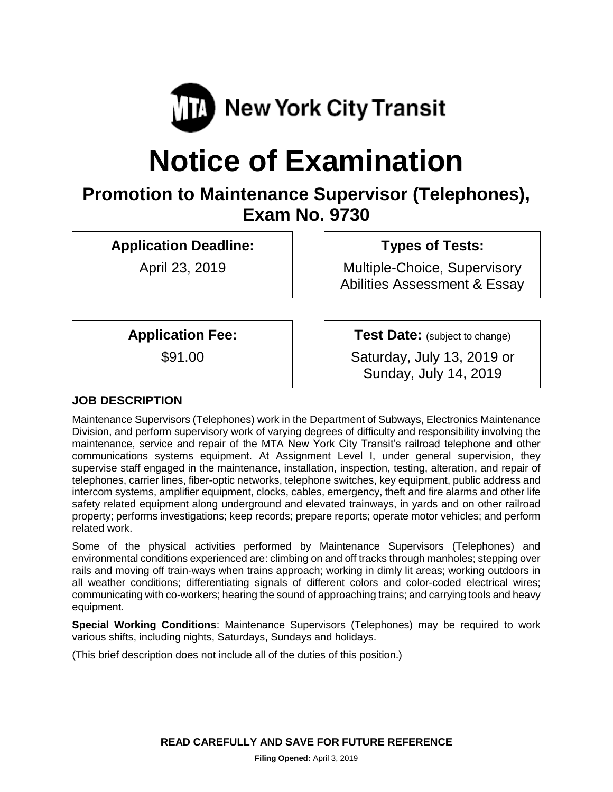

# **Notice of Examination**

# **Promotion to Maintenance Supervisor (Telephones), Exam No. 9730**

**Application Deadline:**

April 23, 2019

**Types of Tests:** 

Multiple-Choice, Supervisory Abilities Assessment & Essay

**Application Fee:**

\$91.00

**Test Date:** (subject to change)

Saturday, July 13, 2019 or Sunday, July 14, 2019

# **JOB DESCRIPTION**

Maintenance Supervisors (Telephones) work in the Department of Subways, Electronics Maintenance Division, and perform supervisory work of varying degrees of difficulty and responsibility involving the maintenance, service and repair of the MTA New York City Transit's railroad telephone and other communications systems equipment. At Assignment Level I, under general supervision, they supervise staff engaged in the maintenance, installation, inspection, testing, alteration, and repair of telephones, carrier lines, fiber-optic networks, telephone switches, key equipment, public address and intercom systems, amplifier equipment, clocks, cables, emergency, theft and fire alarms and other life safety related equipment along underground and elevated trainways, in yards and on other railroad property; performs investigations; keep records; prepare reports; operate motor vehicles; and perform related work.

Some of the physical activities performed by Maintenance Supervisors (Telephones) and environmental conditions experienced are: climbing on and off tracks through manholes; stepping over rails and moving off train-ways when trains approach; working in dimly lit areas; working outdoors in all weather conditions; differentiating signals of different colors and color-coded electrical wires; communicating with co-workers; hearing the sound of approaching trains; and carrying tools and heavy equipment.

**Special Working Conditions**: Maintenance Supervisors (Telephones) may be required to work various shifts, including nights, Saturdays, Sundays and holidays.

(This brief description does not include all of the duties of this position.)

**READ CAREFULLY AND SAVE FOR FUTURE REFERENCE**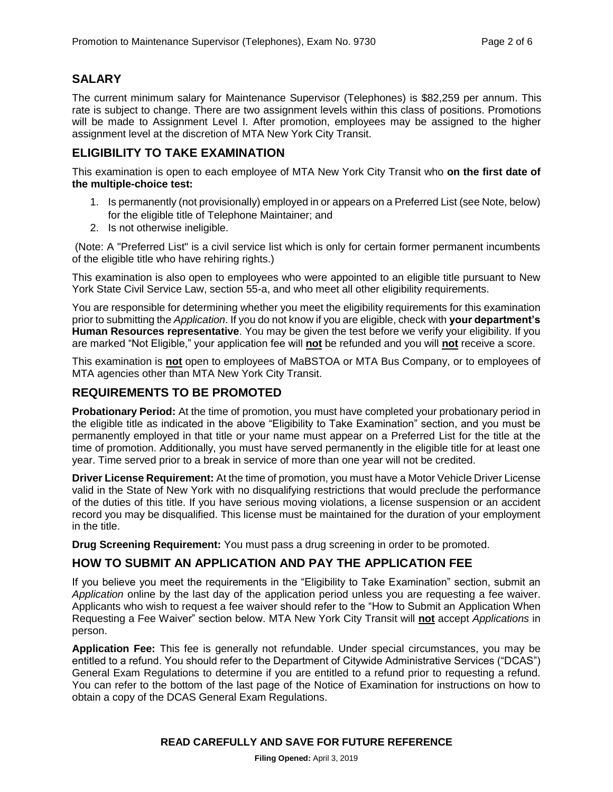### **SALARY**

The current minimum salary for Maintenance Supervisor (Telephones) is \$82,259 per annum. This rate is subject to change. There are two assignment levels within this class of positions. Promotions will be made to Assignment Level I. After promotion, employees may be assigned to the higher assignment level at the discretion of MTA New York City Transit.

#### **ELIGIBILITY TO TAKE EXAMINATION**

This examination is open to each employee of MTA New York City Transit who **on the first date of the multiple-choice test:**

- 1. Is permanently (not provisionally) employed in or appears on a Preferred List (see Note, below) for the eligible title of Telephone Maintainer; and
- 2. Is not otherwise ineligible.

(Note: A "Preferred List" is a civil service list which is only for certain former permanent incumbents of the eligible title who have rehiring rights.)

This examination is also open to employees who were appointed to an eligible title pursuant to New York State Civil Service Law, section 55-a, and who meet all other eligibility requirements.

You are responsible for determining whether you meet the eligibility requirements for this examination prior to submitting the *Application*. If you do not know if you are eligible, check with **your department's Human Resources representative**. You may be given the test before we verify your eligibility. If you are marked "Not Eligible," your application fee will **not** be refunded and you will **not** receive a score.

This examination is **not** open to employees of MaBSTOA or MTA Bus Company, or to employees of MTA agencies other than MTA New York City Transit.

#### **REQUIREMENTS TO BE PROMOTED**

**Probationary Period:** At the time of promotion, you must have completed your probationary period in the eligible title as indicated in the above "Eligibility to Take Examination" section, and you must be permanently employed in that title or your name must appear on a Preferred List for the title at the time of promotion. Additionally, you must have served permanently in the eligible title for at least one year. Time served prior to a break in service of more than one year will not be credited.

**Driver License Requirement:** At the time of promotion, you must have a Motor Vehicle Driver License valid in the State of New York with no disqualifying restrictions that would preclude the performance of the duties of this title. If you have serious moving violations, a license suspension or an accident record you may be disqualified. This license must be maintained for the duration of your employment in the title.

**Drug Screening Requirement:** You must pass a drug screening in order to be promoted.

#### **HOW TO SUBMIT AN APPLICATION AND PAY THE APPLICATION FEE**

If you believe you meet the requirements in the "Eligibility to Take Examination" section, submit an *Application* online by the last day of the application period unless you are requesting a fee waiver. Applicants who wish to request a fee waiver should refer to the "How to Submit an Application When Requesting a Fee Waiver" section below. MTA New York City Transit will **not** accept *Applications* in person.

**Application Fee:** This fee is generally not refundable. Under special circumstances, you may be entitled to a refund. You should refer to the Department of Citywide Administrative Services ("DCAS") General Exam Regulations to determine if you are entitled to a refund prior to requesting a refund. You can refer to the bottom of the last page of the Notice of Examination for instructions on how to obtain a copy of the DCAS General Exam Regulations.

#### **READ CAREFULLY AND SAVE FOR FUTURE REFERENCE**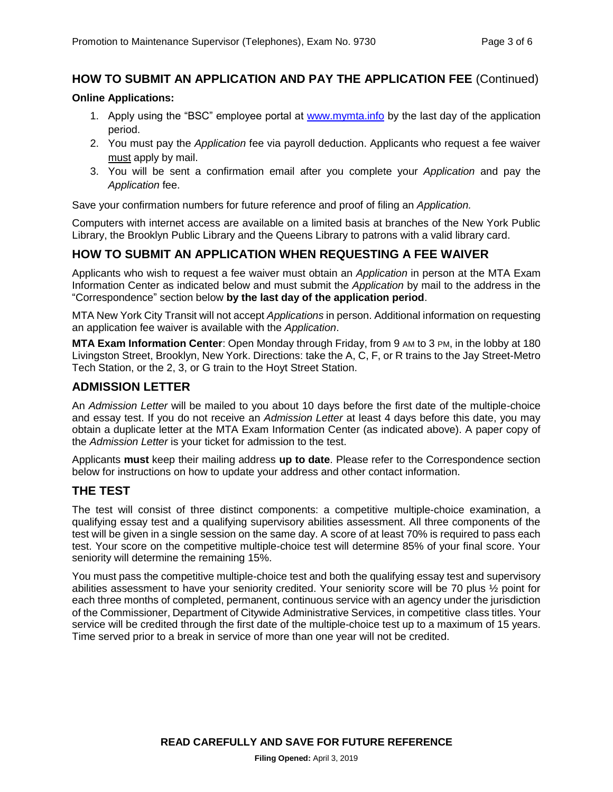#### **HOW TO SUBMIT AN APPLICATION AND PAY THE APPLICATION FEE** (Continued)

#### **Online Applications:**

- 1. Apply using the "BSC" employee portal at [www.mymta.info](http://www.mymta.info/) by the last day of the application period.
- 2. You must pay the *Application* fee via payroll deduction. Applicants who request a fee waiver must apply by mail.
- 3. You will be sent a confirmation email after you complete your *Application* and pay the *Application* fee.

Save your confirmation numbers for future reference and proof of filing an *Application.*

Computers with internet access are available on a limited basis at branches of the New York Public Library, the Brooklyn Public Library and the Queens Library to patrons with a valid library card.

#### **HOW TO SUBMIT AN APPLICATION WHEN REQUESTING A FEE WAIVER**

Applicants who wish to request a fee waiver must obtain an *Application* in person at the MTA Exam Information Center as indicated below and must submit the *Application* by mail to the address in the "Correspondence" section below **by the last day of the application period**.

MTA New York City Transit will not accept *Applications* in person. Additional information on requesting an application fee waiver is available with the *Application*.

**MTA Exam Information Center**: Open Monday through Friday, from 9 AM to 3 PM, in the lobby at 180 Livingston Street, Brooklyn, New York. Directions: take the A, C, F, or R trains to the Jay Street-Metro Tech Station, or the 2, 3, or G train to the Hoyt Street Station.

#### **ADMISSION LETTER**

An *Admission Letter* will be mailed to you about 10 days before the first date of the multiple-choice and essay test. If you do not receive an *Admission Letter* at least 4 days before this date, you may obtain a duplicate letter at the MTA Exam Information Center (as indicated above). A paper copy of the *Admission Letter* is your ticket for admission to the test.

Applicants **must** keep their mailing address **up to date**. Please refer to the Correspondence section below for instructions on how to update your address and other contact information.

#### **THE TEST**

The test will consist of three distinct components: a competitive multiple-choice examination, a qualifying essay test and a qualifying supervisory abilities assessment. All three components of the test will be given in a single session on the same day. A score of at least 70% is required to pass each test. Your score on the competitive multiple-choice test will determine 85% of your final score. Your seniority will determine the remaining 15%.

You must pass the competitive multiple-choice test and both the qualifying essay test and supervisory abilities assessment to have your seniority credited. Your seniority score will be 70 plus ½ point for each three months of completed, permanent, continuous service with an agency under the jurisdiction of the Commissioner, Department of Citywide Administrative Services, in competitive class titles. Your service will be credited through the first date of the multiple-choice test up to a maximum of 15 years. Time served prior to a break in service of more than one year will not be credited.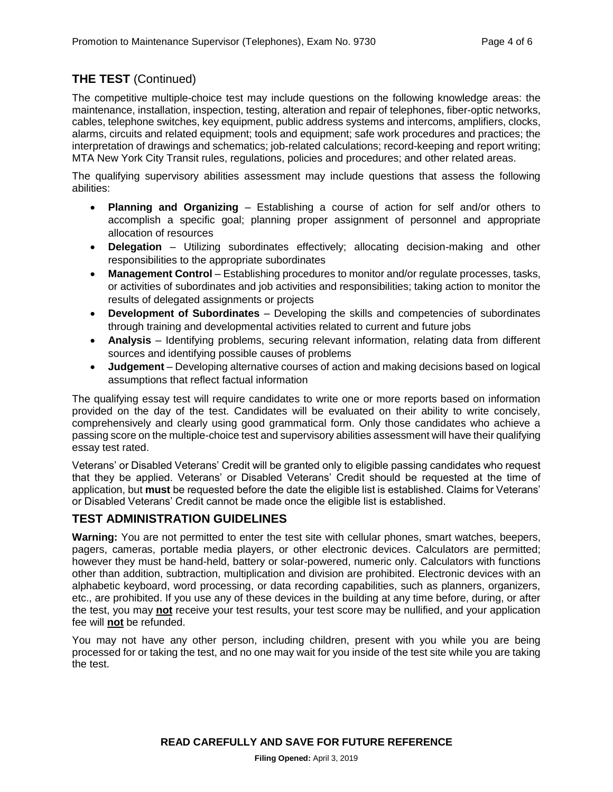# **THE TEST** (Continued)

The competitive multiple-choice test may include questions on the following knowledge areas: the maintenance, installation, inspection, testing, alteration and repair of telephones, fiber-optic networks, cables, telephone switches, key equipment, public address systems and intercoms, amplifiers, clocks, alarms, circuits and related equipment; tools and equipment; safe work procedures and practices; the interpretation of drawings and schematics; job-related calculations; record-keeping and report writing; MTA New York City Transit rules, regulations, policies and procedures; and other related areas.

The qualifying supervisory abilities assessment may include questions that assess the following abilities:

- **Planning and Organizing** Establishing a course of action for self and/or others to accomplish a specific goal; planning proper assignment of personnel and appropriate allocation of resources
- **Delegation** Utilizing subordinates effectively; allocating decision-making and other responsibilities to the appropriate subordinates
- **Management Control** Establishing procedures to monitor and/or regulate processes, tasks, or activities of subordinates and job activities and responsibilities; taking action to monitor the results of delegated assignments or projects
- **Development of Subordinates** Developing the skills and competencies of subordinates through training and developmental activities related to current and future jobs
- **Analysis** Identifying problems, securing relevant information, relating data from different sources and identifying possible causes of problems
- **Judgement** Developing alternative courses of action and making decisions based on logical assumptions that reflect factual information

The qualifying essay test will require candidates to write one or more reports based on information provided on the day of the test. Candidates will be evaluated on their ability to write concisely, comprehensively and clearly using good grammatical form. Only those candidates who achieve a passing score on the multiple-choice test and supervisory abilities assessment will have their qualifying essay test rated.

Veterans' or Disabled Veterans' Credit will be granted only to eligible passing candidates who request that they be applied. Veterans' or Disabled Veterans' Credit should be requested at the time of application, but **must** be requested before the date the eligible list is established. Claims for Veterans' or Disabled Veterans' Credit cannot be made once the eligible list is established.

## **TEST ADMINISTRATION GUIDELINES**

**Warning:** You are not permitted to enter the test site with cellular phones, smart watches, beepers, pagers, cameras, portable media players, or other electronic devices. Calculators are permitted; however they must be hand-held, battery or solar-powered, numeric only. Calculators with functions other than addition, subtraction, multiplication and division are prohibited. Electronic devices with an alphabetic keyboard, word processing, or data recording capabilities, such as planners, organizers, etc., are prohibited. If you use any of these devices in the building at any time before, during, or after the test, you may **not** receive your test results, your test score may be nullified, and your application fee will **not** be refunded.

You may not have any other person, including children, present with you while you are being processed for or taking the test, and no one may wait for you inside of the test site while you are taking the test.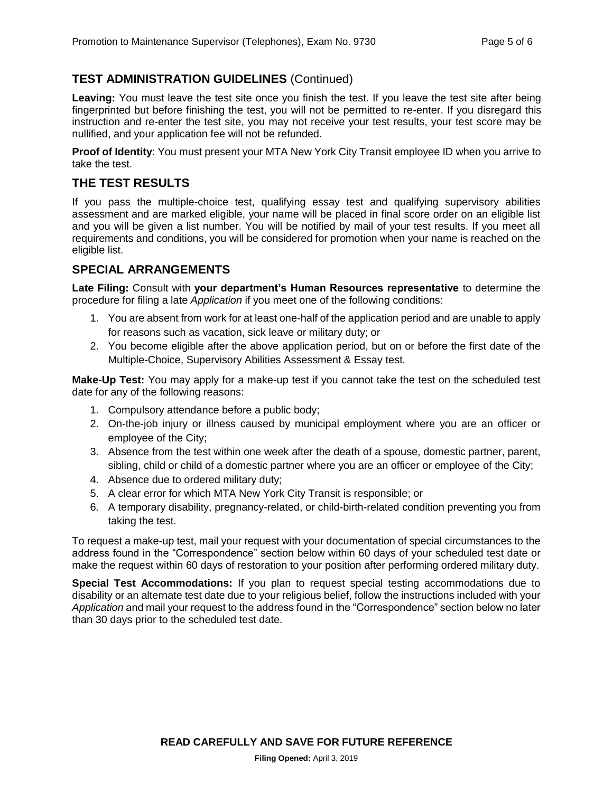#### **TEST ADMINISTRATION GUIDELINES** (Continued)

**Leaving:** You must leave the test site once you finish the test. If you leave the test site after being fingerprinted but before finishing the test, you will not be permitted to re-enter. If you disregard this instruction and re-enter the test site, you may not receive your test results, your test score may be nullified, and your application fee will not be refunded.

**Proof of Identity**: You must present your MTA New York City Transit employee ID when you arrive to take the test.

#### **THE TEST RESULTS**

If you pass the multiple-choice test, qualifying essay test and qualifying supervisory abilities assessment and are marked eligible, your name will be placed in final score order on an eligible list and you will be given a list number. You will be notified by mail of your test results. If you meet all requirements and conditions, you will be considered for promotion when your name is reached on the eligible list.

#### **SPECIAL ARRANGEMENTS**

**Late Filing:** Consult with **your department's Human Resources representative** to determine the procedure for filing a late *Application* if you meet one of the following conditions:

- 1. You are absent from work for at least one-half of the application period and are unable to apply for reasons such as vacation, sick leave or military duty; or
- 2. You become eligible after the above application period, but on or before the first date of the Multiple-Choice, Supervisory Abilities Assessment & Essay test.

**Make-Up Test:** You may apply for a make-up test if you cannot take the test on the scheduled test date for any of the following reasons:

- 1. Compulsory attendance before a public body;
- 2. On-the-job injury or illness caused by municipal employment where you are an officer or employee of the City;
- 3. Absence from the test within one week after the death of a spouse, domestic partner, parent, sibling, child or child of a domestic partner where you are an officer or employee of the City;
- 4. Absence due to ordered military duty;
- 5. A clear error for which MTA New York City Transit is responsible; or
- 6. A temporary disability, pregnancy-related, or child-birth-related condition preventing you from taking the test.

To request a make-up test, mail your request with your documentation of special circumstances to the address found in the "Correspondence" section below within 60 days of your scheduled test date or make the request within 60 days of restoration to your position after performing ordered military duty.

**Special Test Accommodations:** If you plan to request special testing accommodations due to disability or an alternate test date due to your religious belief, follow the instructions included with your *Application* and mail your request to the address found in the "Correspondence" section below no later than 30 days prior to the scheduled test date.